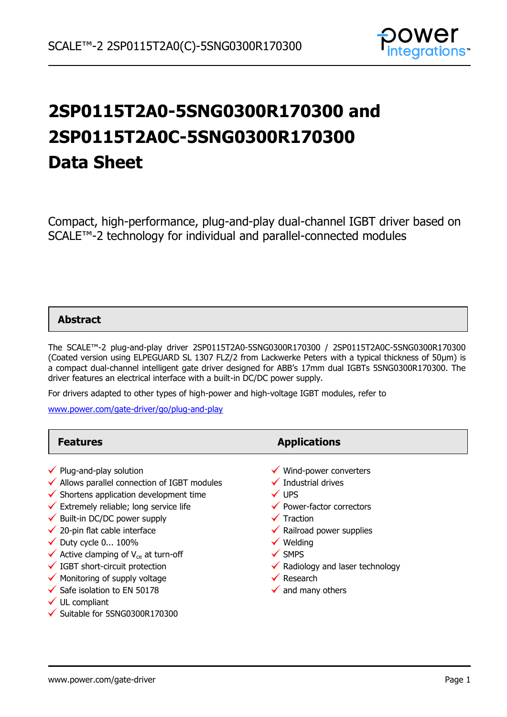

# **2SP0115T2A0-5SNG0300R170300 and 2SP0115T2A0C-5SNG0300R170300 Data Sheet**

Compact, high-performance, plug-and-play dual-channel IGBT driver based on SCALE™-2 technology for individual and parallel-connected modules

### **Abstract**

The SCALE™-2 plug-and-play driver 2SP0115T2A0-5SNG0300R170300 / 2SP0115T2A0C-5SNG0300R170300 (Coated version using ELPEGUARD SL 1307 FLZ/2 from Lackwerke Peters with a typical thickness of 50µm) is a compact dual-channel intelligent gate driver designed for ABB's 17mm dual IGBTs 5SNG0300R170300. The driver features an electrical interface with a built-in DC/DC power supply.

For drivers adapted to other types of high-power and high-voltage IGBT modules, refer to

[www.power.com/gate-driver/go/plug-and-play](http://www.power.com/gate-driver/go/plug-and-play)

| <b>Features</b>                                                                                                                                                                                                                                                                                                                                                                                                                                                                                                                           | <b>Applications</b>                                                                                                                                                                                                                                                                                                                         |
|-------------------------------------------------------------------------------------------------------------------------------------------------------------------------------------------------------------------------------------------------------------------------------------------------------------------------------------------------------------------------------------------------------------------------------------------------------------------------------------------------------------------------------------------|---------------------------------------------------------------------------------------------------------------------------------------------------------------------------------------------------------------------------------------------------------------------------------------------------------------------------------------------|
| $\checkmark$ Plug-and-play solution<br>$\checkmark$ Allows parallel connection of IGBT modules<br>$\checkmark$ Shortens application development time<br>$\checkmark$ Extremely reliable; long service life<br>$\checkmark$ Built-in DC/DC power supply<br>$\checkmark$ 20-pin flat cable interface<br>$\checkmark$ Duty cycle 0 100%<br>$\checkmark$ Active clamping of V <sub>ce</sub> at turn-off<br>$\checkmark$ IGBT short-circuit protection<br>$\checkmark$ Monitoring of supply voltage<br>$\checkmark$ Safe isolation to EN 50178 | $\checkmark$ Wind-power converters<br>$\checkmark$ Industrial drives<br>$\checkmark$ UPS<br>◆ Power-factor correctors<br>$\checkmark$ Traction<br>$\checkmark$ Railroad power supplies<br>$\checkmark$ Welding<br>$\checkmark$ SMPS<br>$\checkmark$ Radiology and laser technology<br>$\checkmark$ Research<br>$\checkmark$ and many others |
| $\checkmark$ UL compliant                                                                                                                                                                                                                                                                                                                                                                                                                                                                                                                 |                                                                                                                                                                                                                                                                                                                                             |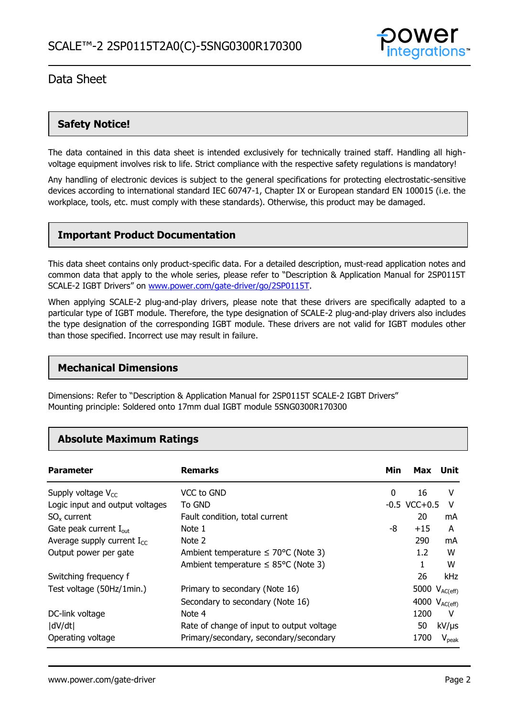

## **Safety Notice!**

The data contained in this data sheet is intended exclusively for technically trained staff. Handling all highvoltage equipment involves risk to life. Strict compliance with the respective safety regulations is mandatory!

Any handling of electronic devices is subject to the general specifications for protecting electrostatic-sensitive devices according to international standard IEC 60747-1, Chapter IX or European standard EN 100015 (i.e. the workplace, tools, etc. must comply with these standards). Otherwise, this product may be damaged.

## **Important Product Documentation**

This data sheet contains only product-specific data. For a detailed description, must-read application notes and common data that apply to the whole series, please refer to "Description & Application Manual for 2SP0115T SCALE-2 IGBT Drivers" on [www.power.com/gate-driver/go/2SP0115T.](http://www.power.com/gate-driver/go/2SP0115T)

When applying SCALE-2 plug-and-play drivers, please note that these drivers are specifically adapted to a particular type of IGBT module. Therefore, the type designation of SCALE-2 plug-and-play drivers also includes the type designation of the corresponding IGBT module. These drivers are not valid for IGBT modules other than those specified. Incorrect use may result in failure.

### **Mechanical Dimensions**

Dimensions: Refer to "Description & Application Manual for 2SP0115T SCALE-2 IGBT Drivers" Mounting principle: Soldered onto 17mm dual IGBT module 5SNG0300R170300

## **Absolute Maximum Ratings**

| <b>Parameter</b>                   | <b>Remarks</b>                                   | Min | Max                | Unit              |
|------------------------------------|--------------------------------------------------|-----|--------------------|-------------------|
| Supply voltage $V_{CC}$            | VCC to GND                                       | 0   | 16                 | v                 |
| Logic input and output voltages    | To GND                                           |     | $-0.5$ VCC $+0.5$  | v                 |
| $SO_{x}$ current                   | Fault condition, total current                   |     | 20                 | mA                |
| Gate peak current $I_{\text{out}}$ | Note 1                                           | -8  | $+15$              | A                 |
| Average supply current $I_{cc}$    | Note 2                                           |     | 290                | mA                |
| Output power per gate              | Ambient temperature $\leq 70^{\circ}$ C (Note 3) |     | 1.2 <sub>1</sub>   | W                 |
|                                    | Ambient temperature $\leq$ 85°C (Note 3)         |     | 1                  | W                 |
| Switching frequency f              |                                                  |     | 26                 | kHz               |
| Test voltage (50Hz/1min.)          | Primary to secondary (Note 16)                   |     | 5000 $V_{AC(eff)}$ |                   |
|                                    | Secondary to secondary (Note 16)                 |     | 4000 $V_{AC(eff)}$ |                   |
| DC-link voltage                    | Note 4                                           |     | 1200               | v                 |
| dV/dt                              | Rate of change of input to output voltage        |     | 50                 | $kV/\mu s$        |
| Operating voltage                  | Primary/secondary, secondary/secondary           |     | 1700               | $V_{\text{peak}}$ |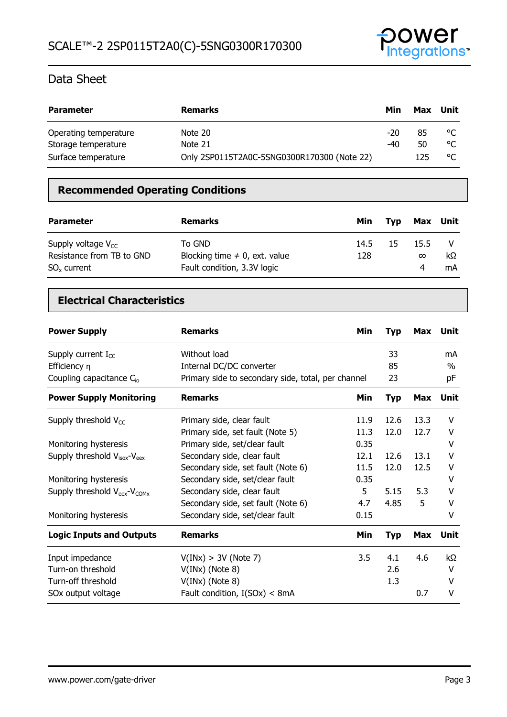

| <b>Parameter</b>      | <b>Remarks</b>                              | Min   | Max | Unit |
|-----------------------|---------------------------------------------|-------|-----|------|
| Operating temperature | Note 20                                     | $-20$ | 85  | °C   |
| Storage temperature   | Note 21                                     | -40   | 50  | °C   |
| Surface temperature   | Only 2SP0115T2A0C-5SNG0300R170300 (Note 22) |       | 125 | °C   |

## **Recommended Operating Conditions**

| <b>Parameter</b>                                                         | <b>Remarks</b>                                                              | Min         | Tvp | Max Unit              |          |
|--------------------------------------------------------------------------|-----------------------------------------------------------------------------|-------------|-----|-----------------------|----------|
| Supply voltage $V_{cc}$<br>Resistance from TB to GND<br>$SO_{x}$ current | To GND<br>Blocking time $\neq$ 0, ext. value<br>Fault condition, 3.3V logic | 14.5<br>128 | 15  | 15.5<br>$\infty$<br>4 | kΩ<br>mA |

## **Electrical Characteristics**

| <b>Power Supply</b>                               | <b>Remarks</b>                                     | Min  | <b>Typ</b> | Max        | Unit        |
|---------------------------------------------------|----------------------------------------------------|------|------------|------------|-------------|
| Supply current $I_{CC}$                           | Without load                                       |      | 33         |            | mA          |
| Efficiency $\eta$                                 | Internal DC/DC converter                           |      | 85         |            | $\%$        |
| Coupling capacitance C <sub>io</sub>              | Primary side to secondary side, total, per channel |      | 23         |            | рF          |
| <b>Power Supply Monitoring</b>                    | <b>Remarks</b>                                     | Min  | <b>Typ</b> | <b>Max</b> | <b>Unit</b> |
| Supply threshold $V_{CC}$                         | Primary side, clear fault                          | 11.9 | 12.6       | 13.3       | v           |
|                                                   | Primary side, set fault (Note 5)                   | 11.3 | 12.0       | 12.7       | V           |
| Monitoring hysteresis                             | Primary side, set/clear fault                      | 0.35 |            |            | v           |
| Supply threshold $V_{\text{isox}}-V_{\text{eex}}$ | Secondary side, clear fault                        | 12.1 | 12.6       | 13.1       | V           |
|                                                   | Secondary side, set fault (Note 6)                 | 11.5 | 12.0       | 12.5       | v           |
| Monitoring hysteresis                             | Secondary side, set/clear fault                    | 0.35 |            |            | V           |
| Supply threshold $V_{\text{eex}}-V_{\text{COMx}}$ | Secondary side, clear fault                        | 5    | 5.15       | 5.3        | v           |
|                                                   | Secondary side, set fault (Note 6)                 | 4.7  | 4.85       | 5          | v           |
| Monitoring hysteresis                             | Secondary side, set/clear fault                    | 0.15 |            |            | V           |
| <b>Logic Inputs and Outputs</b>                   | <b>Remarks</b>                                     | Min  | <b>Typ</b> | <b>Max</b> | <b>Unit</b> |
| Input impedance                                   | V(INx) > 3V (Note 7)                               | 3.5  | 4.1        | 4.6        | kΩ          |
| Turn-on threshold                                 | $V(INx)$ (Note 8)                                  |      | 2.6        |            | v           |
| Turn-off threshold                                | $V(INx)$ (Note 8)                                  |      | 1.3        |            | v           |
| SOx output voltage                                | Fault condition, $I(SOx) < 8mA$                    |      |            | 0.7        | V           |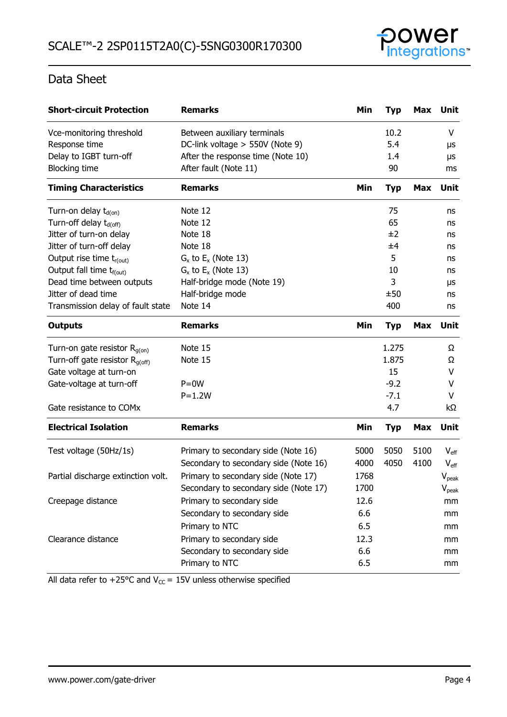

| <b>Short-circuit Protection</b>      | <b>Remarks</b>                        | Min  | <b>Typ</b> | Max        | Unit             |
|--------------------------------------|---------------------------------------|------|------------|------------|------------------|
| Vce-monitoring threshold             | Between auxiliary terminals           |      | 10.2       |            | V                |
| Response time                        | DC-link voltage > 550V (Note 9)       |      | 5.4        |            | μs               |
| Delay to IGBT turn-off               | After the response time (Note 10)     |      | 1.4        |            | μs               |
| <b>Blocking time</b>                 | After fault (Note 11)                 |      | 90         |            | ms               |
| <b>Timing Characteristics</b>        | <b>Remarks</b>                        | Min  | <b>Typ</b> | Max        | Unit             |
| Turn-on delay $t_{d(0n)}$            | Note 12                               |      | 75         |            | ns               |
| Turn-off delay t <sub>d(off)</sub>   | Note 12                               |      | 65         |            | ns               |
| Jitter of turn-on delay              | Note 18                               |      | ±2         |            | ns               |
| Jitter of turn-off delay             | Note 18                               |      | ±4         |            | ns               |
| Output rise time $t_{r(out)}$        | $G_x$ to $E_x$ (Note 13)              |      | 5          |            | ns               |
| Output fall time t <sub>f(out)</sub> | $G_x$ to $E_x$ (Note 13)              |      | 10         |            | ns               |
| Dead time between outputs            | Half-bridge mode (Note 19)            |      | 3          |            | μs               |
| Jitter of dead time                  | Half-bridge mode                      |      | ±50        |            | ns               |
| Transmission delay of fault state    | Note 14                               |      | 400        |            | ns               |
| <b>Outputs</b>                       | <b>Remarks</b>                        | Min  | <b>Typ</b> | <b>Max</b> | Unit             |
| Turn-on gate resistor $R_{g(on)}$    | Note 15                               |      | 1.275      |            | Ω                |
| Turn-off gate resistor $R_{q(off)}$  | Note 15                               |      | 1.875      |            | Ω                |
| Gate voltage at turn-on              |                                       |      | 15         |            | v                |
| Gate-voltage at turn-off             | $P = 0W$                              |      | $-9.2$     |            | v                |
|                                      | $P = 1.2W$                            |      | $-7.1$     |            | v                |
| Gate resistance to COMx              |                                       |      | 4.7        |            | kΩ               |
| <b>Electrical Isolation</b>          | <b>Remarks</b>                        | Min  | <b>Typ</b> | <b>Max</b> | Unit             |
| Test voltage (50Hz/1s)               | Primary to secondary side (Note 16)   | 5000 | 5050       | 5100       | $V_{\text{eff}}$ |
|                                      | Secondary to secondary side (Note 16) | 4000 | 4050       | 4100       | $V_{\text{eff}}$ |
| Partial discharge extinction volt.   | Primary to secondary side (Note 17)   | 1768 |            |            | $V_{peak}$       |
|                                      | Secondary to secondary side (Note 17) | 1700 |            |            | $V_{peak}$       |
| Creepage distance                    | Primary to secondary side             | 12.6 |            |            | mm               |
|                                      | Secondary to secondary side           | 6.6  |            |            | mm               |
|                                      | Primary to NTC                        | 6.5  |            |            | mm               |
| Clearance distance                   | Primary to secondary side             | 12.3 |            |            | mm               |
|                                      | Secondary to secondary side           | 6.6  |            |            | mm               |
|                                      | Primary to NTC                        | 6.5  |            |            | mm               |

All data refer to +25°C and  $V_{CC}$  = 15V unless otherwise specified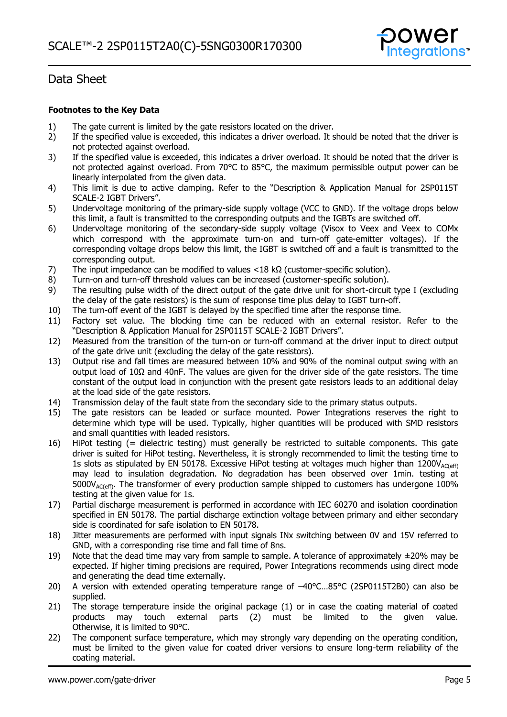

### **Footnotes to the Key Data**

- 1) The gate current is limited by the gate resistors located on the driver.<br>2) If the specified value is exceeded, this indicates a driver overload. It s
- 2) If the specified value is exceeded, this indicates a driver overload. It should be noted that the driver is not protected against overload.
- 3) If the specified value is exceeded, this indicates a driver overload. It should be noted that the driver is not protected against overload. From 70°C to 85°C, the maximum permissible output power can be linearly interpolated from the given data.
- 4) This limit is due to active clamping. Refer to the "Description & Application Manual for 2SP0115T SCALE-2 IGBT Drivers".
- 5) Undervoltage monitoring of the primary-side supply voltage (VCC to GND). If the voltage drops below this limit, a fault is transmitted to the corresponding outputs and the IGBTs are switched off.
- 6) Undervoltage monitoring of the secondary-side supply voltage (Visox to Veex and Veex to COMx which correspond with the approximate turn-on and turn-off gate-emitter voltages). If the corresponding voltage drops below this limit, the IGBT is switched off and a fault is transmitted to the corresponding output.
- 7) The input impedance can be modified to values <18 kΩ (customer-specific solution).
- 8) Turn-on and turn-off threshold values can be increased (customer-specific solution).
- 9) The resulting pulse width of the direct output of the gate drive unit for short-circuit type I (excluding the delay of the gate resistors) is the sum of response time plus delay to IGBT turn-off.
- 10) The turn-off event of the IGBT is delayed by the specified time after the response time.
- 11) Factory set value. The blocking time can be reduced with an external resistor. Refer to the "Description & Application Manual for 2SP0115T SCALE-2 IGBT Drivers".
- 12) Measured from the transition of the turn-on or turn-off command at the driver input to direct output of the gate drive unit (excluding the delay of the gate resistors).
- 13) Output rise and fall times are measured between 10% and 90% of the nominal output swing with an output load of 10Ω and 40nF. The values are given for the driver side of the gate resistors. The time constant of the output load in conjunction with the present gate resistors leads to an additional delay at the load side of the gate resistors.
- 14) Transmission delay of the fault state from the secondary side to the primary status outputs.
- 15) The gate resistors can be leaded or surface mounted. Power Integrations reserves the right to determine which type will be used. Typically, higher quantities will be produced with SMD resistors and small quantities with leaded resistors.
- 16) HiPot testing (= dielectric testing) must generally be restricted to suitable components. This gate driver is suited for HiPot testing. Nevertheless, it is strongly recommended to limit the testing time to 1s slots as stipulated by EN 50178. Excessive HiPot testing at voltages much higher than  $1200V_{AC(eff)}$ may lead to insulation degradation. No degradation has been observed over 1min. testing at  $5000V_{AC(eff)}$ . The transformer of every production sample shipped to customers has undergone 100% testing at the given value for 1s.
- 17) Partial discharge measurement is performed in accordance with IEC 60270 and isolation coordination specified in EN 50178. The partial discharge extinction voltage between primary and either secondary side is coordinated for safe isolation to EN 50178.
- 18) Jitter measurements are performed with input signals INx switching between 0V and 15V referred to GND, with a corresponding rise time and fall time of 8ns.
- 19) Note that the dead time may vary from sample to sample. A tolerance of approximately  $\pm 20\%$  may be expected. If higher timing precisions are required, Power Integrations recommends using direct mode and generating the dead time externally.
- 20) A version with extended operating temperature range of -40°C...85°C (2SP0115T2B0) can also be supplied.
- 21) The storage temperature inside the original package (1) or in case the coating material of coated products may touch external parts (2) must be limited to the given value. Otherwise, it is limited to 90°C.
- 22) The component surface temperature, which may strongly vary depending on the operating condition, must be limited to the given value for coated driver versions to ensure long-term reliability of the coating material.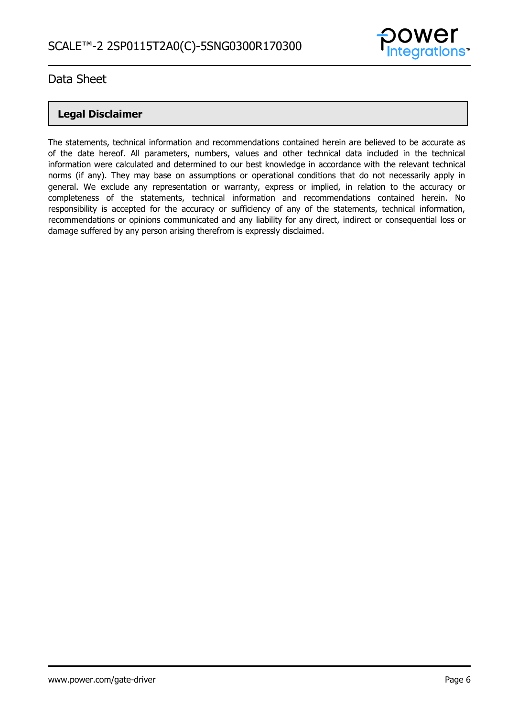

## **Legal Disclaimer**

The statements, technical information and recommendations contained herein are believed to be accurate as of the date hereof. All parameters, numbers, values and other technical data included in the technical information were calculated and determined to our best knowledge in accordance with the relevant technical norms (if any). They may base on assumptions or operational conditions that do not necessarily apply in general. We exclude any representation or warranty, express or implied, in relation to the accuracy or completeness of the statements, technical information and recommendations contained herein. No responsibility is accepted for the accuracy or sufficiency of any of the statements, technical information, recommendations or opinions communicated and any liability for any direct, indirect or consequential loss or damage suffered by any person arising therefrom is expressly disclaimed.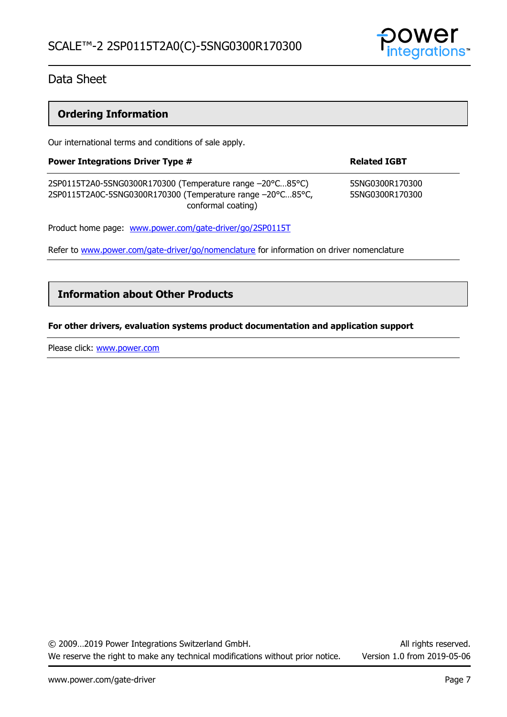

## **Ordering Information**

Our international terms and conditions of sale apply.

| <b>Power Integrations Driver Type #</b>                                                                                                       | <b>Related IGBT</b>                |  |
|-----------------------------------------------------------------------------------------------------------------------------------------------|------------------------------------|--|
| 2SP0115T2A0-5SNG0300R170300 (Temperature range -20°C85°C)<br>2SP0115T2A0C-5SNG0300R170300 (Temperature range -20°C85°C,<br>conformal coating) | 5SNG0300R170300<br>5SNG0300R170300 |  |
| Product home page: www.power.com/gate-driver/go/2SP0115T                                                                                      |                                    |  |

Refer to [www.power.com/gate-driver/go/nomenclature](http://www.power.com/gate-driver/go/nomenclature) for information on driver nomenclature

### **Information about Other Products**

#### **For other drivers, evaluation systems product documentation and application support**

Please click: [www.power.com](http://www.power.com/)